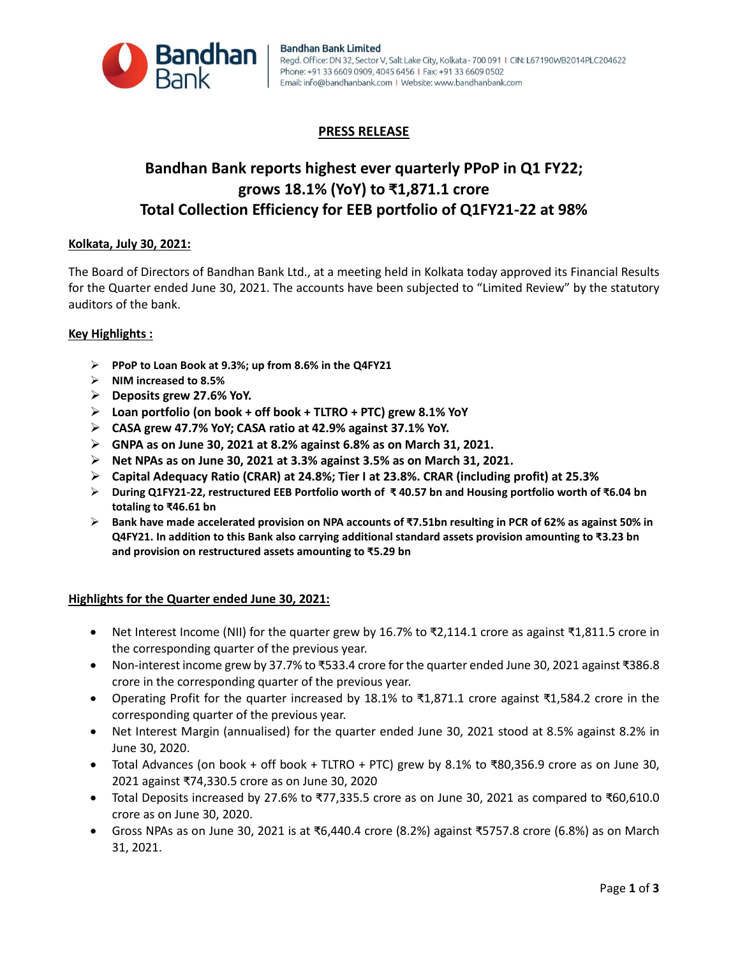

# **PRESS RELEASE**

# **Bandhan Bank reports highest ever quarterly PPoP in Q1 FY22; grows 18.1% (YoY) to ₹1,871.1 crore Total Collection Efficiency for EEB portfolio of Q1FY21-22 at 98%**

# **Kolkata, July 30, 2021:**

The Board of Directors of Bandhan Bank Ltd., at a meeting held in Kolkata today approved its Financial Results for the Quarter ended June 30, 2021. The accounts have been subjected to "Limited Review" by the statutory auditors of the bank.

# **Key Highlights :**

- **PPoP to Loan Book at 9.3%; up from 8.6% in the Q4FY21**
- **NIM increased to 8.5%**
- **Deposits grew 27.6% YoY.**
- **Loan portfolio (on book + off book + TLTRO + PTC) grew 8.1% YoY**
- **CASA grew 47.7% YoY; CASA ratio at 42.9% against 37.1% YoY.**
- **GNPA as on June 30, 2021 at 8.2% against 6.8% as on March 31, 2021.**
- **Net NPAs as on June 30, 2021 at 3.3% against 3.5% as on March 31, 2021.**
- **Capital Adequacy Ratio (CRAR) at 24.8%; Tier I at 23.8%. CRAR (including profit) at 25.3%**
- **During Q1FY21-22, restructured EEB Portfolio worth of ₹ 40.57 bn and Housing portfolio worth of ₹6.04 bn totaling to ₹46.61 bn**
- **Bank have made accelerated provision on NPA accounts of ₹7.51bn resulting in PCR of 62% as against 50% in Q4FY21. In addition to this Bank also carrying additional standard assets provision amounting to ₹3.23 bn and provision on restructured assets amounting to ₹5.29 bn**

#### **Highlights for the Quarter ended June 30, 2021:**

- Net Interest Income (NII) for the quarter grew by 16.7% to ₹2,114.1 crore as against ₹1,811.5 crore in the corresponding quarter of the previous year.
- Non-interest income grew by 37.7% to ₹533.4 crore for the quarter ended June 30, 2021 against ₹386.8 crore in the corresponding quarter of the previous year.
- Operating Profit for the quarter increased by 18.1% to ₹1,871.1 crore against ₹1,584.2 crore in the corresponding quarter of the previous year.
- Net Interest Margin (annualised) for the quarter ended June 30, 2021 stood at 8.5% against 8.2% in June 30, 2020.
- Total Advances (on book + off book + TLTRO + PTC) grew by 8.1% to ₹80,356.9 crore as on June 30, 2021 against ₹74,330.5 crore as on June 30, 2020
- Total Deposits increased by 27.6% to ₹77,335.5 crore as on June 30, 2021 as compared to ₹60,610.0 crore as on June 30, 2020.
- Gross NPAs as on June 30, 2021 is at ₹6,440.4 crore (8.2%) against ₹5757.8 crore (6.8%) as on March 31, 2021.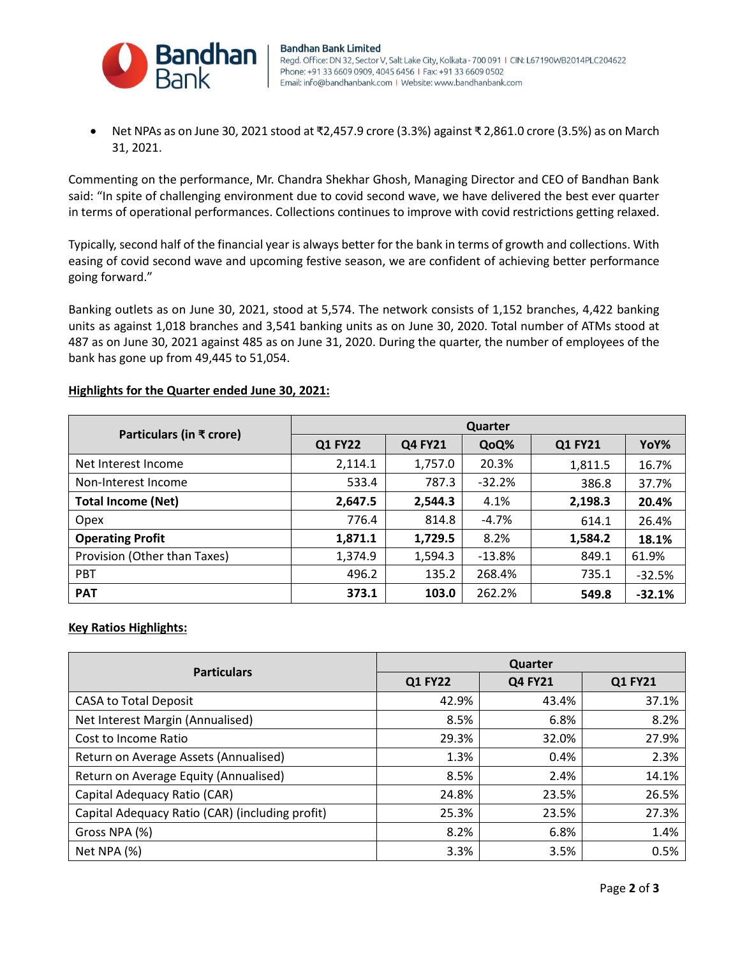

 Net NPAs as on June 30, 2021 stood at ₹2,457.9 crore (3.3%) against ₹ 2,861.0 crore (3.5%) as on March 31, 2021.

Commenting on the performance, Mr. Chandra Shekhar Ghosh, Managing Director and CEO of Bandhan Bank said: "In spite of challenging environment due to covid second wave, we have delivered the best ever quarter in terms of operational performances. Collections continues to improve with covid restrictions getting relaxed.

Typically, second half of the financial year is always better for the bank in terms of growth and collections. With easing of covid second wave and upcoming festive season, we are confident of achieving better performance going forward."

Banking outlets as on June 30, 2021, stood at 5,574. The network consists of 1,152 branches, 4,422 banking units as against 1,018 branches and 3,541 banking units as on June 30, 2020. Total number of ATMs stood at 487 as on June 30, 2021 against 485 as on June 31, 2020. During the quarter, the number of employees of the bank has gone up from 49,445 to 51,054.

# **Highlights for the Quarter ended June 30, 2021:**

| Particulars (in ₹ crore)     | Quarter        |                |          |         |          |  |
|------------------------------|----------------|----------------|----------|---------|----------|--|
|                              | <b>Q1 FY22</b> | <b>Q4 FY21</b> | QoQ%     | Q1 FY21 | YoY%     |  |
| Net Interest Income          | 2,114.1        | 1,757.0        | 20.3%    | 1,811.5 | 16.7%    |  |
| Non-Interest Income          | 533.4          | 787.3          | $-32.2%$ | 386.8   | 37.7%    |  |
| <b>Total Income (Net)</b>    | 2,647.5        | 2,544.3        | 4.1%     | 2,198.3 | 20.4%    |  |
| Opex                         | 776.4          | 814.8          | $-4.7%$  | 614.1   | 26.4%    |  |
| <b>Operating Profit</b>      | 1,871.1        | 1,729.5        | 8.2%     | 1,584.2 | 18.1%    |  |
| Provision (Other than Taxes) | 1,374.9        | 1,594.3        | $-13.8%$ | 849.1   | 61.9%    |  |
| <b>PBT</b>                   | 496.2          | 135.2          | 268.4%   | 735.1   | $-32.5%$ |  |
| <b>PAT</b>                   | 373.1          | 103.0          | 262.2%   | 549.8   | $-32.1%$ |  |

# **Key Ratios Highlights:**

| <b>Particulars</b>                              | Quarter        |                |                |  |
|-------------------------------------------------|----------------|----------------|----------------|--|
|                                                 | <b>Q1 FY22</b> | <b>Q4 FY21</b> | <b>Q1 FY21</b> |  |
| <b>CASA to Total Deposit</b>                    | 42.9%          | 43.4%          | 37.1%          |  |
| Net Interest Margin (Annualised)                | 8.5%           | 6.8%           | 8.2%           |  |
| Cost to Income Ratio                            | 29.3%          | 32.0%          | 27.9%          |  |
| Return on Average Assets (Annualised)           | 1.3%           | 0.4%           | 2.3%           |  |
| Return on Average Equity (Annualised)           | 8.5%           | 2.4%           | 14.1%          |  |
| Capital Adequacy Ratio (CAR)                    | 24.8%          | 23.5%          | 26.5%          |  |
| Capital Adequacy Ratio (CAR) (including profit) | 25.3%          | 23.5%          | 27.3%          |  |
| Gross NPA (%)                                   | 8.2%           | 6.8%           | 1.4%           |  |
| Net NPA (%)                                     | 3.3%           | 3.5%           | 0.5%           |  |